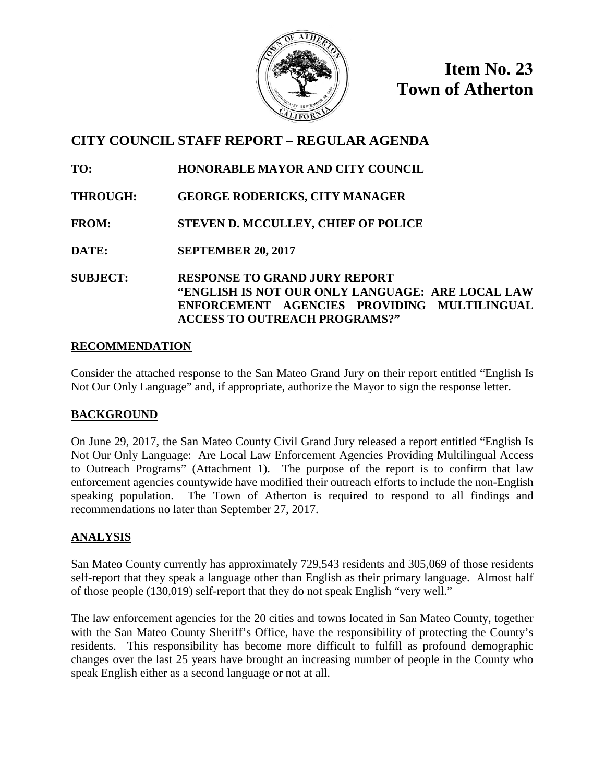

**Item No. 23 Town of Atherton** 

# **CITY COUNCIL STAFF REPORT – REGULAR AGENDA**

**TO: HONORABLE MAYOR AND CITY COUNCIL**

**THROUGH: GEORGE RODERICKS, CITY MANAGER**

**FROM: STEVEN D. MCCULLEY, CHIEF OF POLICE**

**DATE: SEPTEMBER 20, 2017** 

**SUBJECT: RESPONSE TO GRAND JURY REPORT "ENGLISH IS NOT OUR ONLY LANGUAGE: ARE LOCAL LAW ENFORCEMENT AGENCIES PROVIDING MULTILINGUAL ACCESS TO OUTREACH PROGRAMS?"**

# **RECOMMENDATION**

Consider the attached response to the San Mateo Grand Jury on their report entitled "English Is Not Our Only Language" and, if appropriate, authorize the Mayor to sign the response letter.

# **BACKGROUND**

On June 29, 2017, the San Mateo County Civil Grand Jury released a report entitled "English Is Not Our Only Language: Are Local Law Enforcement Agencies Providing Multilingual Access to Outreach Programs" (Attachment 1). The purpose of the report is to confirm that law enforcement agencies countywide have modified their outreach efforts to include the non-English speaking population. The Town of Atherton is required to respond to all findings and recommendations no later than September 27, 2017.

# **ANALYSIS**

San Mateo County currently has approximately 729,543 residents and 305,069 of those residents self-report that they speak a language other than English as their primary language. Almost half of those people (130,019) self-report that they do not speak English "very well."

The law enforcement agencies for the 20 cities and towns located in San Mateo County, together with the San Mateo County Sheriff's Office, have the responsibility of protecting the County's residents. This responsibility has become more difficult to fulfill as profound demographic changes over the last 25 years have brought an increasing number of people in the County who speak English either as a second language or not at all.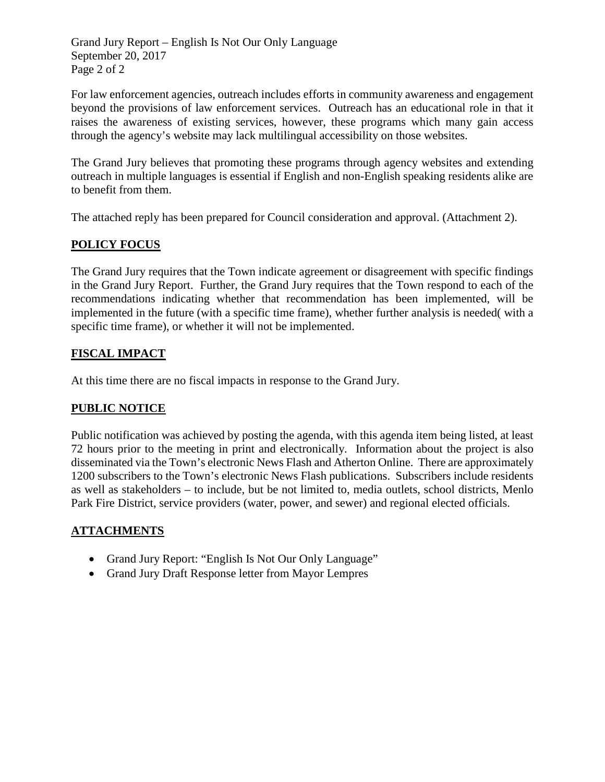Grand Jury Report – English Is Not Our Only Language September 20, 2017 Page 2 of 2

For law enforcement agencies, outreach includes efforts in community awareness and engagement beyond the provisions of law enforcement services. Outreach has an educational role in that it raises the awareness of existing services, however, these programs which many gain access through the agency's website may lack multilingual accessibility on those websites.

The Grand Jury believes that promoting these programs through agency websites and extending outreach in multiple languages is essential if English and non-English speaking residents alike are to benefit from them.

The attached reply has been prepared for Council consideration and approval. (Attachment 2).

# **POLICY FOCUS**

The Grand Jury requires that the Town indicate agreement or disagreement with specific findings in the Grand Jury Report. Further, the Grand Jury requires that the Town respond to each of the recommendations indicating whether that recommendation has been implemented, will be implemented in the future (with a specific time frame), whether further analysis is needed( with a specific time frame), or whether it will not be implemented.

# **FISCAL IMPACT**

At this time there are no fiscal impacts in response to the Grand Jury.

# **PUBLIC NOTICE**

Public notification was achieved by posting the agenda, with this agenda item being listed, at least 72 hours prior to the meeting in print and electronically. Information about the project is also disseminated via the Town's electronic News Flash and Atherton Online. There are approximately 1200 subscribers to the Town's electronic News Flash publications. Subscribers include residents as well as stakeholders – to include, but be not limited to, media outlets, school districts, Menlo Park Fire District, service providers (water, power, and sewer) and regional elected officials.

# **ATTACHMENTS**

- Grand Jury Report: "English Is Not Our Only Language"
- Grand Jury Draft Response letter from Mayor Lempres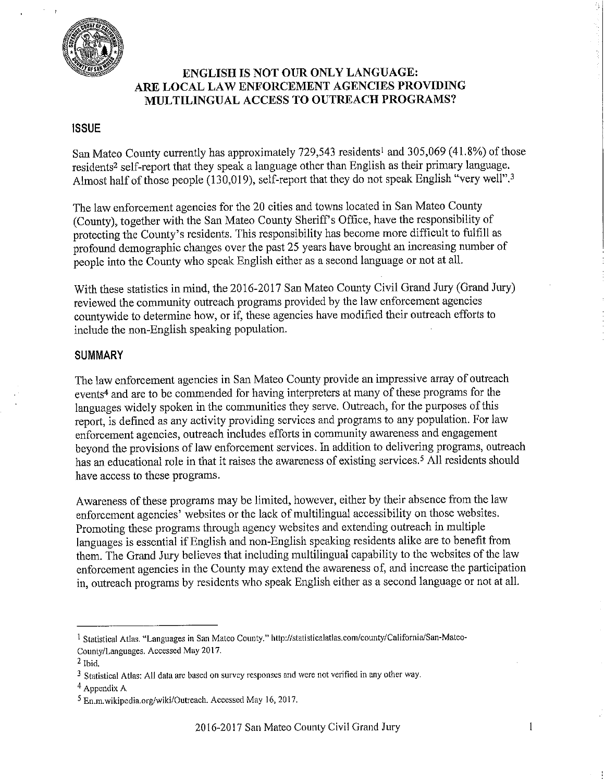

# **ENGLISH IS NOT OUR ONLY LANGUAGE:** ARE LOCAL LAW ENFORCEMENT AGENCIES PROVIDING MULTILINGUAL ACCESS TO OUTREACH PROGRAMS?

## **ISSUE**

San Mateo County currently has approximately 729,543 residents<sup>1</sup> and 305,069 (41.8%) of those residents<sup>2</sup> self-report that they speak a language other than English as their primary language. Almost half of those people (130,019), self-report that they do not speak English "very well".<sup>3</sup>

The law enforcement agencies for the 20 cities and towns located in San Mateo County (County), together with the San Mateo County Sheriff's Office, have the responsibility of protecting the County's residents. This responsibility has become more difficult to fulfill as profound demographic changes over the past 25 years have brought an increasing number of people into the County who speak English either as a second language or not at all.

With these statistics in mind, the 2016-2017 San Mateo County Civil Grand Jury (Grand Jury) reviewed the community outreach programs provided by the law enforcement agencies countywide to determine how, or if, these agencies have modified their outreach efforts to include the non-English speaking population.

### **SUMMARY**

The law enforcement agencies in San Mateo County provide an impressive array of outreach events<sup>4</sup> and are to be commended for having interpreters at many of these programs for the languages widely spoken in the communities they serve. Outreach, for the purposes of this report, is defined as any activity providing services and programs to any population. For law enforcement agencies, outreach includes efforts in community awareness and engagement beyond the provisions of law enforcement services. In addition to delivering programs, outreach has an educational role in that it raises the awareness of existing services.<sup>5</sup> All residents should have access to these programs.

Awareness of these programs may be limited, however, either by their absence from the law enforcement agencies' websites or the lack of multilingual accessibility on those websites. Promoting these programs through agency websites and extending outreach in multiple languages is essential if English and non-English speaking residents alike are to benefit from them. The Grand Jury believes that including multilingual capability to the websites of the law enforcement agencies in the County may extend the awareness of, and increase the participation in, outreach programs by residents who speak English either as a second language or not at all.

9.

<sup>&</sup>lt;sup>1</sup> Statistical Atlas. "Languages in San Mateo County." http://statisticalatlas.com/county/California/San-Mateo-County/Languages. Accessed May 2017.

 $2$  Ibid.

<sup>&</sup>lt;sup>3</sup> Statistical Atlas: All data are based on survey responses and were not verified in any other way.

 $4$  Appendix A

<sup>&</sup>lt;sup>5</sup> En.m.wikipedia.org/wiki/Outreach. Accessed May 16, 2017.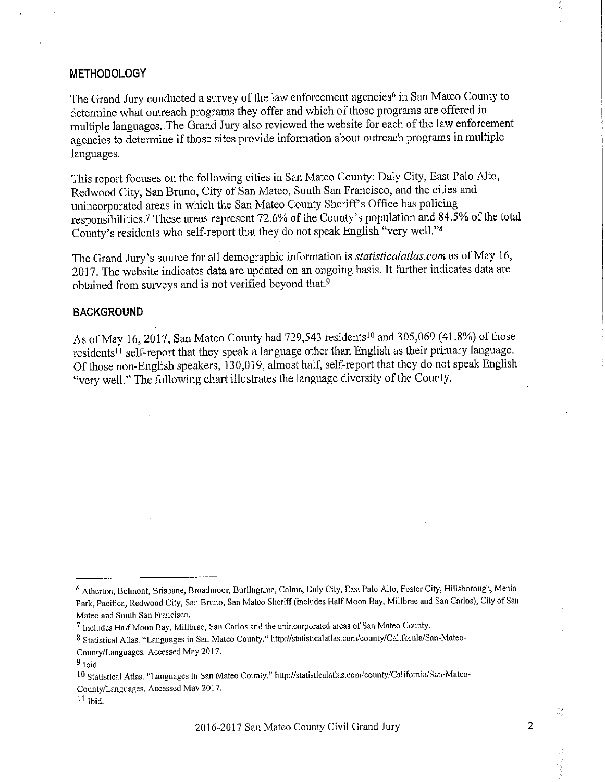#### **METHODOLOGY**

The Grand Jury conducted a survey of the law enforcement agencies<sup>6</sup> in San Mateo County to determine what outreach programs they offer and which of those programs are offered in multiple languages. The Grand Jury also reviewed the website for each of the law enforcement agencies to determine if those sites provide information about outreach programs in multiple languages.

This report focuses on the following cities in San Mateo County: Daly City, East Palo Alto, Redwood City, San Bruno, City of San Mateo, South San Francisco, and the cities and unincorporated areas in which the San Mateo County Sheriff's Office has policing responsibilities.<sup>7</sup> These areas represent 72.6% of the County's population and 84.5% of the total County's residents who self-report that they do not speak English "very well."<sup>8</sup>

The Grand Jury's source for all demographic information is *statisticalatlas.com* as of May 16, 2017. The website indicates data are updated on an ongoing basis. It further indicates data are obtained from surveys and is not verified beyond that.<sup>9</sup>

#### **BACKGROUND**

As of May 16, 2017, San Mateo County had 729,543 residents<sup>10</sup> and 305,069 (41.8%) of those residents<sup>11</sup> self-report that they speak a language other than English as their primary language. Of those non-English speakers, 130,019, almost half, self-report that they do not speak English "very well." The following chart illustrates the language diversity of the County.

Ď,

<sup>&</sup>lt;sup>6</sup> Atherton, Belmont, Brisbane, Broadmoor, Burlingame, Colma, Daly City, East Palo Alto, Foster City, Hillsborough, Menlo Park, Pacifica, Redwood City, San Bruno, San Mateo Sheriff (includes Half Moon Bay, Millbrae and San Carlos), City of San Mateo and South San Francisco.

<sup>7</sup> Includes Half Moon Bay, Millbrae, San Carlos and the unincorporated areas of San Mateo County.

<sup>8</sup> Statistical Atlas. "Languages in San Mateo County." http://statisticalatlas.com/county/California/San-Mateo-

County/Languages. Accessed May 2017.

 $9$  Ibid.

<sup>10</sup> Statistical Atlas. "Languages in San Mateo County." http://statisticalatlas.com/county/California/San-Mateo-County/Languages. Accessed May 2017.

 $11$  Ibid.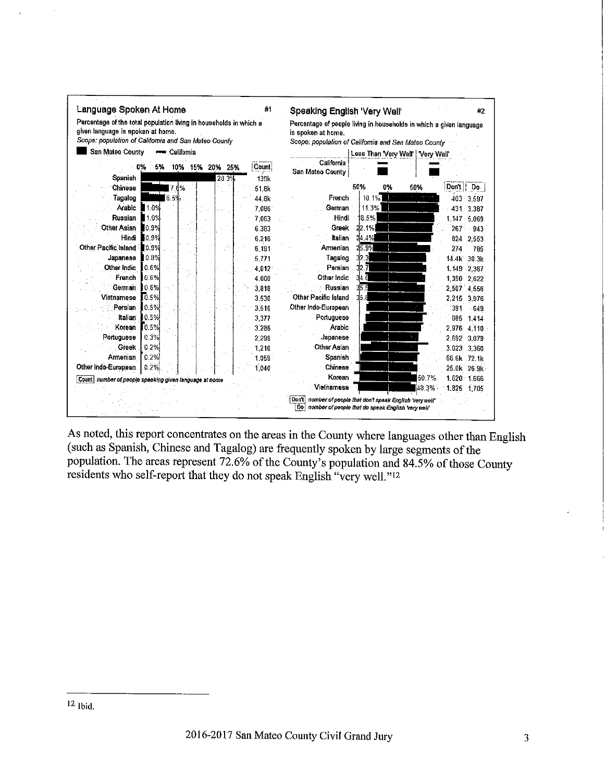

As noted, this report concentrates on the areas in the County where languages other than English (such as Spanish, Chinese and Tagalog) are frequently spoken by large segments of the population. The areas represent 72.6% of the County's population and 84.5% of those County residents who self-report that they do not speak English "very well."<sup>12</sup>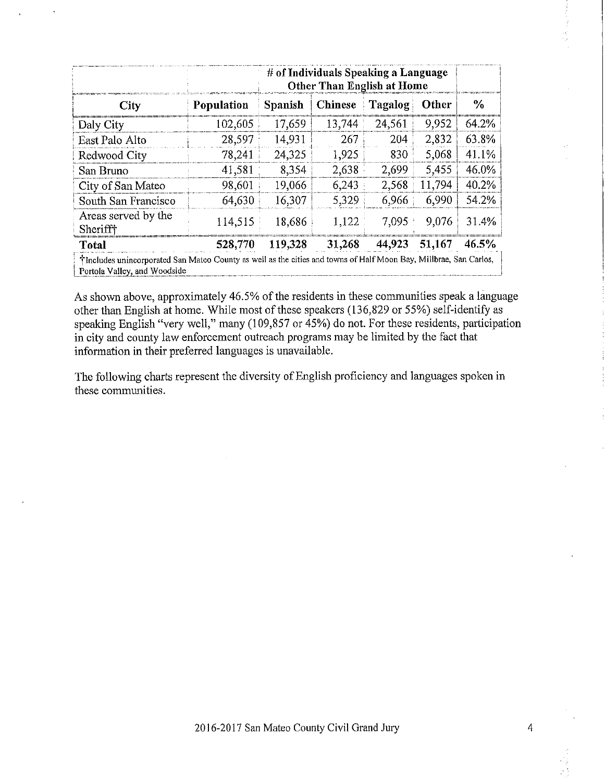|                                        |            | # of Individuals Speaking a Language<br><b>Other Than English at Home</b> |                |         |        |       |
|----------------------------------------|------------|---------------------------------------------------------------------------|----------------|---------|--------|-------|
| City                                   | Population | <b>Spanish</b>                                                            | <b>Chinese</b> | Tagalog | Other  | $\%$  |
| Daly City                              | 102,605    | 17,659                                                                    | 13,744         | 24,561  | 9,952  | 64.2% |
| East Palo Alto                         | 28.597     | 14.931                                                                    | 267            | 204     | 2,832  | 63.8% |
| Redwood City                           | 78.241     | 24.325                                                                    | 1,925          | 830     | 5,068  | 41.1% |
| San Bruno                              | 41,581     | 8,354                                                                     | 2,638          | 2,699   | 5,455  | 46.0% |
| City of San Mateo                      | 98.601     | 19,066                                                                    | 6,243          | 2,568   | 11,794 | 40.2% |
| South San Francisco                    | 64.630     | 16,307                                                                    | 5.329          | 6,966   | 6,990  | 54.2% |
| Areas served by the<br><b>Sherifff</b> | 114,515    | 18,686                                                                    | 1,122          | 7,095   | 9,076  | 31.4% |
| Total                                  | 528.770    | 119,328                                                                   | 31,268         | 44,923  | 51,167 | 46.5% |

As shown above, approximately 46.5% of the residents in these communities speak a language other than English at home. While most of these speakers (136,829 or 55%) self-identify as speaking English "very well," many (109,857 or 45%) do not. For these residents, participation in city and county law enforcement outreach programs may be limited by the fact that information in their preferred languages is unavailable.

The following charts represent the diversity of English proficiency and languages spoken in these communities.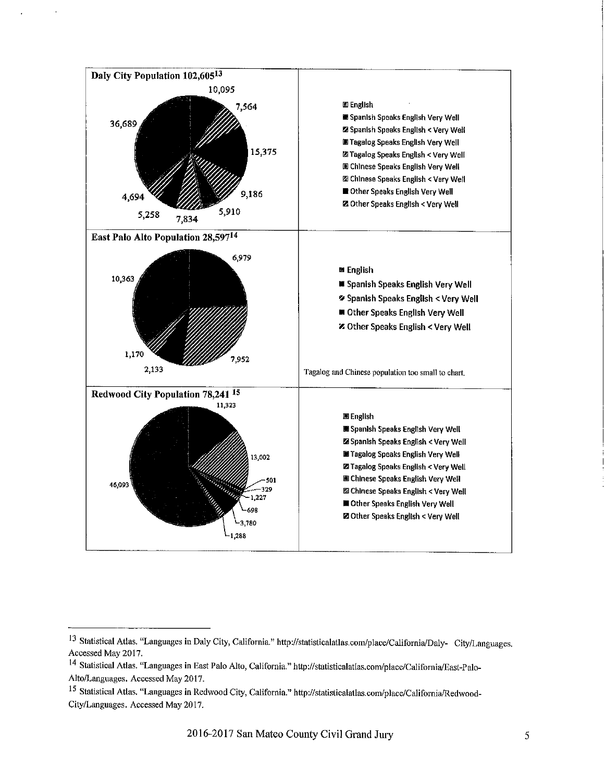

<sup>13</sup> Statistical Atlas. "Languages in Daly City, California." http://statisticalatlas.com/place/California/Daly- City/Languages. Accessed May 2017.

<sup>&</sup>lt;sup>14</sup> Statistical Atlas. "Languages in East Palo Alto, California." http://statisticalatlas.com/place/California/East-Palo-Alto/Languages. Accessed May 2017.

<sup>&</sup>lt;sup>15</sup> Statistical Atlas. "Languages in Redwood City, California." http://statisticalatlas.com/place/California/Redwood-City/Languages. Accessed May 2017.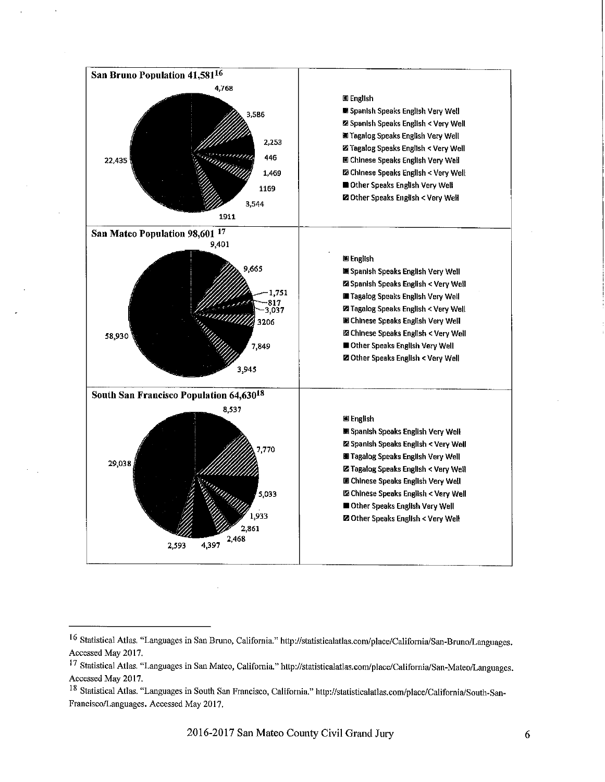

<sup>16</sup> Statistical Atlas. "Languages in San Bruno, California." http://statisticalatlas.com/place/California/San-Bruno/Languages. Accessed May 2017.

<sup>17</sup> Statistical Atlas. "Languages in San Mateo, California." http://statisticalatlas.com/place/California/San-Mateo/Languages. Accessed May 2017.

<sup>&</sup>lt;sup>18</sup> Statistical Atlas. "Languages in South San Francisco, California." http://statisticalatlas.com/place/California/South-San-Francisco/Languages. Accessed May 2017.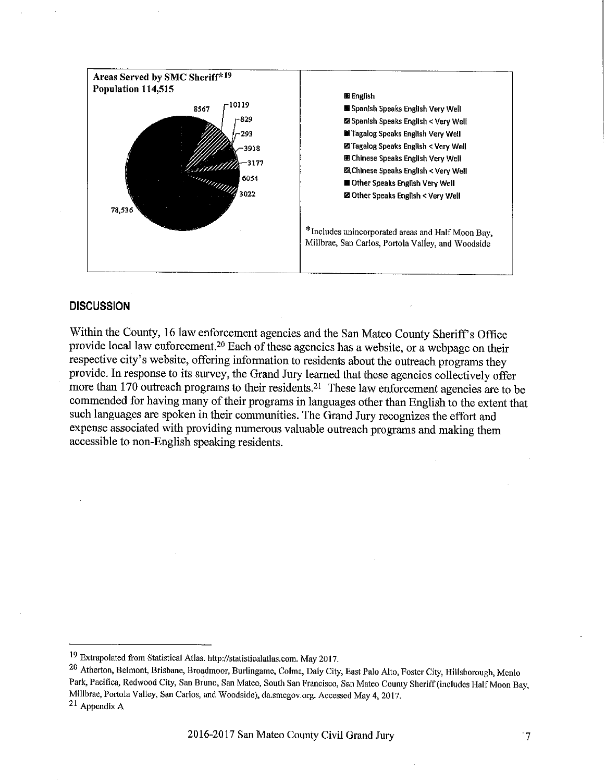

## **DISCUSSION**

Within the County, 16 law enforcement agencies and the San Mateo County Sheriff's Office provide local law enforcement.<sup>20</sup> Each of these agencies has a website, or a webpage on their respective city's website, offering information to residents about the outreach programs they provide. In response to its survey, the Grand Jury learned that these agencies collectively offer more than 170 outreach programs to their residents.<sup>21</sup> These law enforcement agencies are to be commended for having many of their programs in languages other than English to the extent that such languages are spoken in their communities. The Grand Jury recognizes the effort and expense associated with providing numerous valuable outreach programs and making them accessible to non-English speaking residents.

<sup>&</sup>lt;sup>19</sup> Extrapolated from Statistical Atlas. http://statisticalatlas.com. May 2017.

<sup>20</sup> Atherton, Belmont, Brisbane, Broadmoor, Burlingame, Colma, Daly City, East Palo Alto, Foster City, Hillsborough, Menlo Park, Pacifica, Redwood City, San Bruno, San Mateo, South San Francisco, San Mateo County Sheriff (includes Half Moon Bay, Millbrae, Portola Valley, San Carlos, and Woodside), da.smcgov.org. Accessed May 4, 2017.  $21$  Appendix A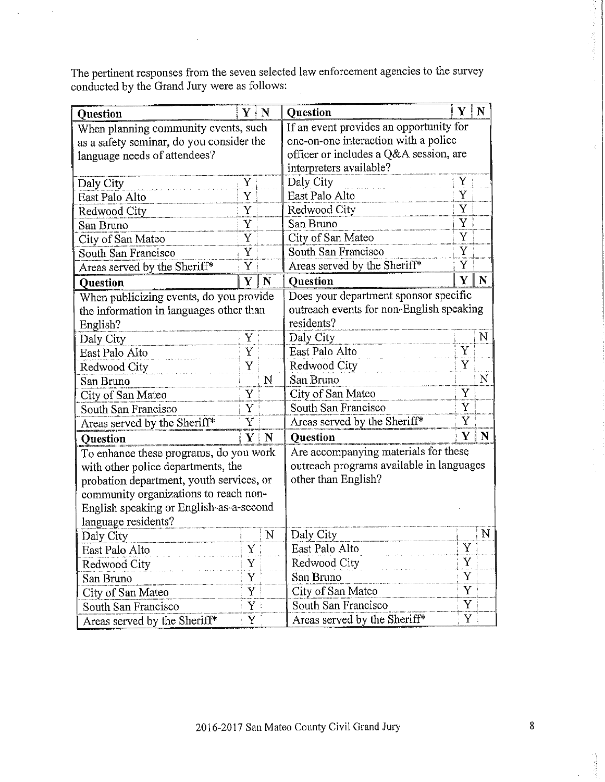The pertinent responses from the seven selected law enforcement agencies to the survey conducted by the Grand Jury were as follows:

| <b>Question</b>                          | $Y \mid N$                       |                                         | <b>Question</b>                          | Y   N                   |             |  |  |
|------------------------------------------|----------------------------------|-----------------------------------------|------------------------------------------|-------------------------|-------------|--|--|
| When planning community events, such     |                                  | If an event provides an opportunity for |                                          |                         |             |  |  |
| as a safety seminar, do you consider the |                                  | one-on-one interaction with a police    |                                          |                         |             |  |  |
| language needs of attendees?             |                                  | officer or includes a Q&A session, are  |                                          |                         |             |  |  |
|                                          |                                  |                                         | interpreters available?                  |                         |             |  |  |
| Daly City                                | Daly City<br>Y                   |                                         |                                          | Y<br>$\tilde{\text{Y}}$ |             |  |  |
| East Palo Alto                           | Y                                |                                         | East Palo Alto                           |                         |             |  |  |
| Redwood City                             | Y                                |                                         | Redwood City                             |                         |             |  |  |
| San Bruno                                | Y                                |                                         | San Bruno                                |                         |             |  |  |
| City of San Mateo                        | Y                                |                                         | City of San Mateo                        |                         |             |  |  |
| South San Francisco                      | Y                                |                                         | Y<br>South San Francisco                 |                         |             |  |  |
| Areas served by the Sheriff*             | Y                                |                                         | Areas served by the Sheriff*             | Y                       |             |  |  |
| <b>Question</b>                          | Y                                | $\mathbf N$                             | <b>Question</b>                          | Y                       | $\mathbf N$ |  |  |
| When publicizing events, do you provide  |                                  |                                         | Does your department sponsor specific    |                         |             |  |  |
| the information in languages other than  |                                  |                                         | outreach events for non-English speaking |                         |             |  |  |
| English?                                 |                                  |                                         | residents?                               |                         |             |  |  |
| Daly City                                | Y                                |                                         | Daly City                                |                         | N           |  |  |
| East Palo Alto                           | Y                                |                                         | East Palo Alto                           | Y                       |             |  |  |
| Redwood City                             | $\ddot{\bar{Y}}$<br>Redwood City |                                         |                                          | Y                       |             |  |  |
| San Bruno                                |                                  | ${\bf N}$                               | San Bruno                                |                         | $\mathbf N$ |  |  |
| City of San Mateo                        | Y                                |                                         | Y<br>City of San Mateo                   |                         |             |  |  |
| South San Francisco                      | Y                                |                                         | Y<br>South San Francisco<br>Y            |                         |             |  |  |
| Areas served by the Sheriff*             | Ý                                |                                         | Areas served by the Sheriff*             |                         |             |  |  |
| Question                                 |                                  | $Y \mid N$                              | <b>Question</b>                          | Y                       | N           |  |  |
| To enhance these programs, do you work   |                                  |                                         | Are accompanying materials for these     |                         |             |  |  |
| with other police departments, the       |                                  |                                         | outreach programs available in languages |                         |             |  |  |
| probation department, youth services, or |                                  | other than English?                     |                                          |                         |             |  |  |
| community organizations to reach non-    |                                  |                                         |                                          |                         |             |  |  |
| English speaking or English-as-a-second  |                                  |                                         |                                          |                         |             |  |  |
| language residents?                      |                                  |                                         |                                          |                         |             |  |  |
| Daly City                                |                                  | N                                       | Daly City                                |                         | N           |  |  |
| East Palo Alto                           | Y                                |                                         | East Palo Alto                           | $\mathbf Y$             |             |  |  |
| Redwood City                             | Y                                |                                         | Redwood City                             | Y                       |             |  |  |
| San Bruno                                | Ÿ                                |                                         | San Bruno                                | Y                       |             |  |  |
| City of San Mateo                        | Y                                |                                         | City of San Mateo                        | Y                       |             |  |  |
| South San Francisco                      | South San Francisco<br>Y         |                                         | Y                                        |                         |             |  |  |
| Y<br>Areas served by the Sheriff*        |                                  | Areas served by the Sheriff*<br>Y       |                                          |                         |             |  |  |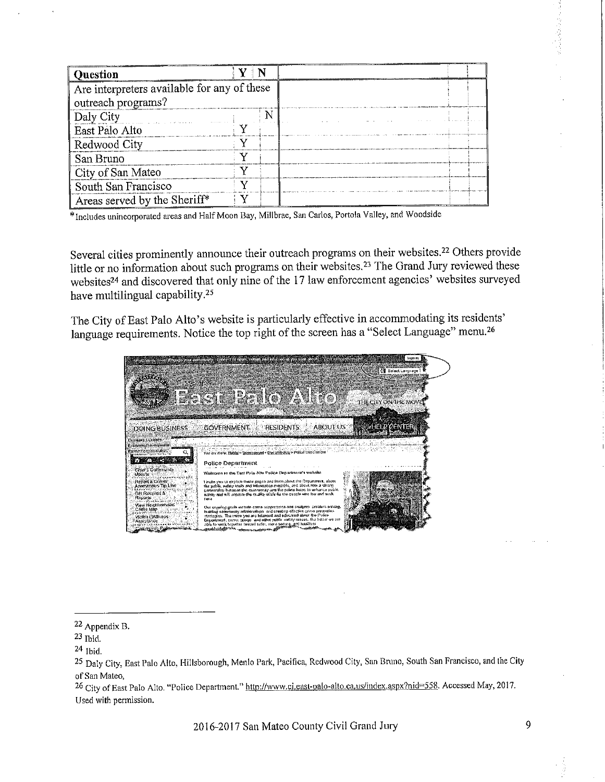| Ouestion                                    |  |  |
|---------------------------------------------|--|--|
| Are interpreters available for any of these |  |  |
| outreach programs?                          |  |  |
| Daly City                                   |  |  |
| East Palo Alto                              |  |  |
| Redwood City                                |  |  |
| San Bruno                                   |  |  |
| City of San Mateo                           |  |  |
| South San Francisco                         |  |  |
| Areas served by the Sheriff*                |  |  |

\*Includes unincorporated areas and Half Moon Bay, Millbrae, San Carlos, Portola Valley, and Woodside

Several cities prominently announce their outreach programs on their websites.<sup>22</sup> Others provide little or no information about such programs on their websites.<sup>23</sup> The Grand Jury reviewed these websites<sup>24</sup> and discovered that only nine of the 17 law enforcement agencies' websites surveyed have multilingual capability.<sup>25</sup>

The City of East Palo Alto's website is particularly effective in accommodating its residents' language requirements. Notice the top right of the screen has a "Select Language" menu.<sup>26</sup>



26 City of East Palo Alto. "Police Department." http://www.ci.east-palo-alto.ca.us/index.aspx?nid=558. Accessed May, 2017. Used with permission.

2016-2017 San Mateo County Civil Grand Jury

<sup>22</sup> Appendix B.

 $23$  Ibid.

 $24$  Ibid.

<sup>25</sup> Daly City, East Palo Alto, Hillsborough, Menlo Park, Pacifica, Redwood City, San Bruno, South San Francisco, and the City of San Mateo.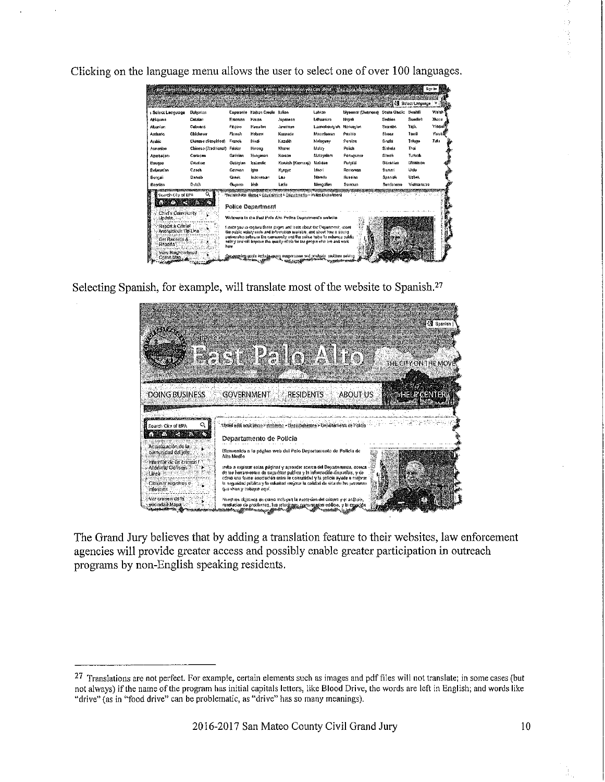Clicking on the language menu allows the user to select one of over 100 languages.

| s Select Language            | Bulgarian             |          | Esperanto Hojtian Creole | Balian                                                          | Labian         | Myanmar (Surmese) Scots Gaelic |           | Swahili      | Welsh   |
|------------------------------|-----------------------|----------|--------------------------|-----------------------------------------------------------------|----------------|--------------------------------|-----------|--------------|---------|
| Afrikaans                    | Catalan               | Estonian | Hause                    | <b>JADRINGER</b>                                                | Libuanian      | Napalı                         | Serbian   | Suadish      | Xhnua   |
| Albanian                     | Cabuano               | Finaino  | Hawailan                 | Javanese                                                        | Luxembotacion  | Norwagion                      | Sesonan   | Taph         | Yiddisi |
| Anthonic.                    | Chichowa              | Finnsh   | Halsers                  | Kannada                                                         | Macedonian     | Pasite                         | Shona     | Tamit        | You boy |
| Arabic                       | Chiaese (Simplified)  | Franch   | Hindi                    | <b>Kazakh</b>                                                   | Makiessy       | Fersian                        | S nthi    | Toluga       | Zulu    |
| Armenian                     | Chinesa (Traditional) | Frislan  | Hmong                    | Khmer                                                           | Malay          | Polish                         | Sinhala   | Thai         |         |
| Azerbailanı                  | Constean              | Gelleian | Hungsnan                 | Koraan                                                          | faalavalem     | Portuguese                     | Slovak    | Turkish      |         |
| <b>Вассае</b>                | Croatian              | Georgian | Icalandic                | Kurdish (Kurmanj)                                               | Makase         | Punjabi                        | Slovenian | Literainson  |         |
| Belandian                    | Crech                 | German   | Inbo                     | Kyreya                                                          | <b>Istaori</b> | Romanan                        | Somati    | Urdu         |         |
| Bennali                      | Datesh                | Greak    | Indones.art              | Lea                                                             | Marathi        | Russian                        | Spanish   | <b>Uzban</b> |         |
| Bosnian                      | Dutch                 | Guaran   | <b>Irish</b>             | Latin                                                           | Mongolism      | Samoan                         | Sundanese | Vielnamene   |         |
| Search City of EPA           |                       |          | <b>Police Department</b> | You are both Home > Greeninger > Organization Putton Dapartment |                |                                |           |              |         |
| Chief's Community<br>Llocate |                       |          |                          | Walcoma to the East Pate Alto Polica Department's website       |                |                                |           |              |         |

Selecting Spanish, for example, will translate most of the website to Spanish.<sup>27</sup>



The Grand Jury believes that by adding a translation feature to their websites, law enforcement agencies will provide greater access and possibly enable greater participation in outreach programs by non-English speaking residents.

<sup>&</sup>lt;sup>27</sup> Translations are not perfect. For example, certain elements such as images and pdf files will not translate; in some cases (but not always) if the name of the program has initial capitals letters, like Blood Drive, the words are left in English; and words like "drive" (as in "food drive" can be problematic, as "drive" has so many meanings).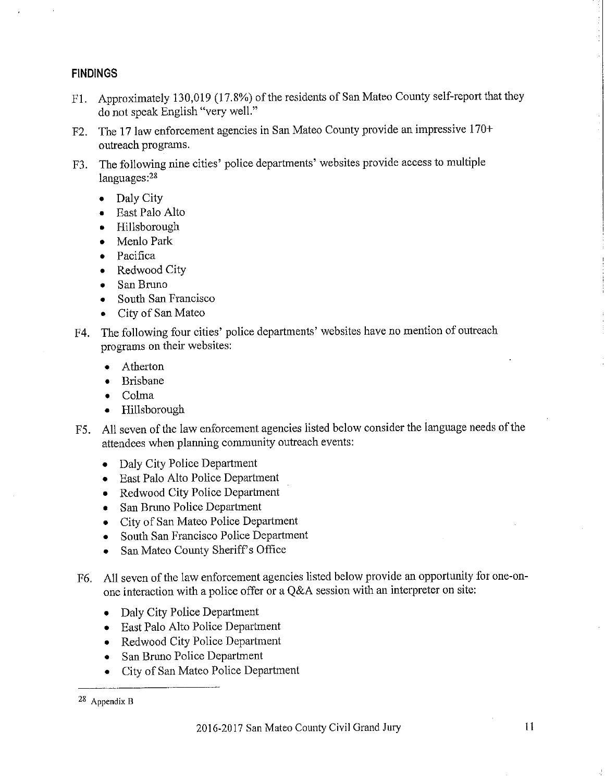# **FINDINGS**

- F1. Approximately 130,019 (17.8%) of the residents of San Mateo County self-report that they do not speak English "very well."
- The 17 law enforcement agencies in San Mateo County provide an impressive 170+  $F2.$ outreach programs.
- The following nine cities' police departments' websites provide access to multiple F3. languages:<sup>28</sup>
	- Daly City  $\bullet$
	- East Palo Alto
	- Hillsborough
	- Menlo Park
	- Pacifica
	- Redwood City
	- San Bruno
	- South San Francisco
	- City of San Mateo
- The following four cities' police departments' websites have no mention of outreach F4. programs on their websites:
	- Atherton  $\bullet$
	- **Brisbane**  $\bullet$
	- Colma  $\bullet$
	- Hillsborough  $\bullet$
- All seven of the law enforcement agencies listed below consider the language needs of the F5. attendees when planning community outreach events:
	- Daly City Police Department  $\bullet$
	- East Palo Alto Police Department  $\bullet$
	- Redwood City Police Department  $\bullet$
	- San Bruno Police Department  $\bullet$
	- City of San Mateo Police Department
	- South San Francisco Police Department  $\bullet$
	- San Mateo County Sheriff's Office  $\bullet$
- All seven of the law enforcement agencies listed below provide an opportunity for one-on-F6. one interaction with a police offer or a Q&A session with an interpreter on site:
	- Daly City Police Department  $\bullet$
	- East Palo Alto Police Department ۰
	- Redwood City Police Department  $\bullet$
	- San Bruno Police Department  $\bullet$
	- City of San Mateo Police Department  $\bullet$

 $28$  Appendix B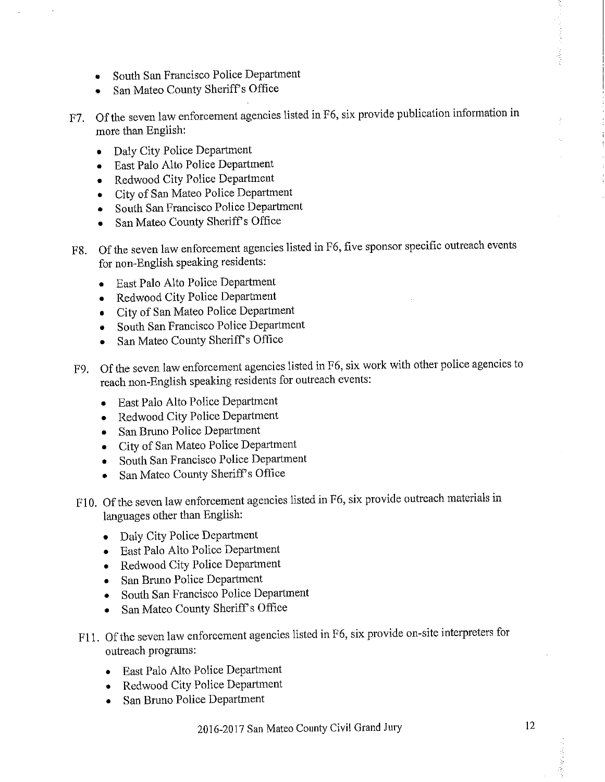- South San Francisco Police Department
- San Mateo County Sheriff's Office
- F7. Of the seven law enforcement agencies listed in F6, six provide publication information in more than English:
	- Daly City Police Department  $\bullet$
	- East Palo Alto Police Department  $\bullet$
	- Redwood City Police Department
	- City of San Mateo Police Department
	- South San Francisco Police Department
	- San Mateo County Sheriff's Office
- F8. Of the seven law enforcement agencies listed in F6, five sponsor specific outreach events for non-English speaking residents:
	- East Palo Alto Police Department
	- Redwood City Police Department  $\bullet$
	- City of San Mateo Police Department
	- South San Francisco Police Department  $\bullet$
	- San Mateo County Sheriff's Office  $\bullet$
- F9. Of the seven law enforcement agencies listed in F6, six work with other police agencies to reach non-English speaking residents for outreach events:
	- East Palo Alto Police Department  $\bullet$
	- Redwood City Police Department  $\bullet$
	- San Bruno Police Department  $\bullet$
	- City of San Mateo Police Department  $\bullet$
	- South San Francisco Police Department
	- San Mateo County Sheriff's Office  $\bullet$
- F10. Of the seven law enforcement agencies listed in F6, six provide outreach materials in languages other than English:
	- Daly City Police Department
	- · East Palo Alto Police Department
	- Redwood City Police Department
	- · San Bruno Police Department
	- South San Francisco Police Department  $\bullet$
	- San Mateo County Sheriff's Office  $\bullet$
- F11. Of the seven law enforcement agencies listed in F6, six provide on-site interpreters for outreach programs:
	- · East Palo Alto Police Department
	- Redwood City Police Department  $\bullet$
	- San Bruno Police Department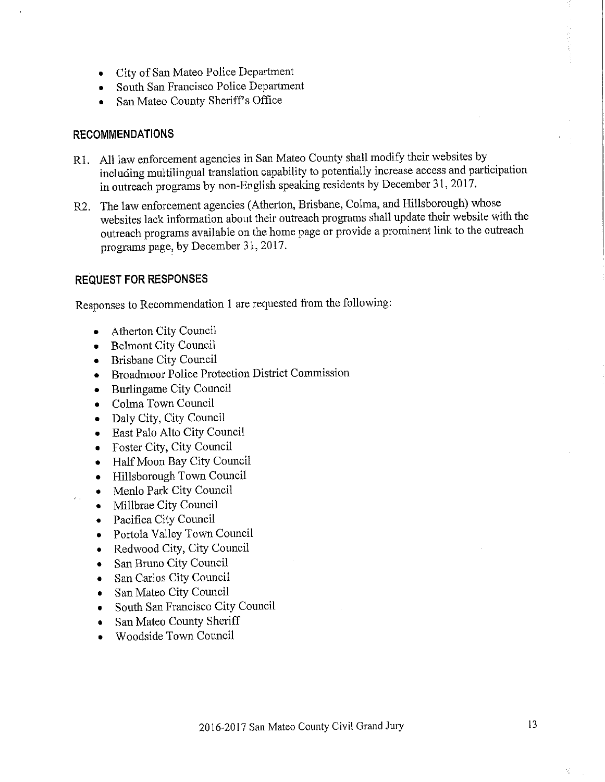- City of San Mateo Police Department
- South San Francisco Police Department
- San Mateo County Sheriff's Office

# **RECOMMENDATIONS**

- R1. All law enforcement agencies in San Mateo County shall modify their websites by including multilingual translation capability to potentially increase access and participation in outreach programs by non-English speaking residents by December 31, 2017.
- R2. The law enforcement agencies (Atherton, Brisbane, Colma, and Hillsborough) whose websites lack information about their outreach programs shall update their website with the outreach programs available on the home page or provide a prominent link to the outreach programs page, by December 31, 2017.

# **REQUEST FOR RESPONSES**

Responses to Recommendation 1 are requested from the following:

- **Atherton City Council**  $\bullet$
- **Belmont City Council**  $\bullet$
- **Brisbane City Council**  $\bullet$
- Broadmoor Police Protection District Commission  $\bullet$
- **Burlingame City Council**  $\bullet$
- Colma Town Council  $\bullet$
- Daly City, City Council  $\bullet$
- East Palo Alto City Council
- Foster City, City Council  $\bullet$
- Half Moon Bay City Council
- Hillsborough Town Council  $\bullet$
- Menlo Park City Council  $\bullet$
- Millbrae City Council  $\bullet$

 $\epsilon$  .

- Pacifica City Council  $\bullet$
- Portola Valley Town Council
- Redwood City, City Council  $\bullet$
- San Bruno City Council  $\bullet$
- San Carlos City Council  $\bullet$
- San Mateo City Council
- South San Francisco City Council
- San Mateo County Sheriff
- Woodside Town Council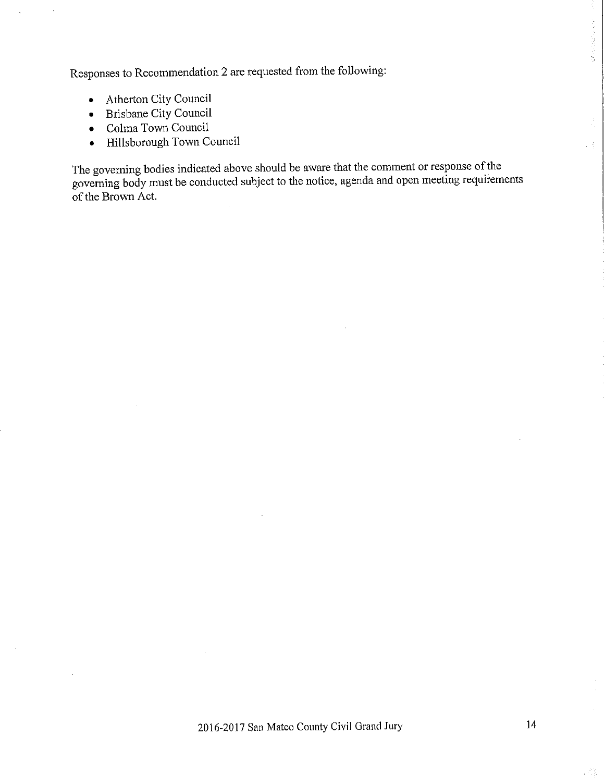Responses to Recommendation 2 are requested from the following:

- Atherton City Council
- Brisbane City Council
- $\bullet$  Colma Town Council
- · Hillsborough Town Council

The governing bodies indicated above should be aware that the comment or response of the governing body must be conducted subject to the notice, agenda and open meeting requirements of the Brown Act.

. A

Ă,

**Service Control of the Service**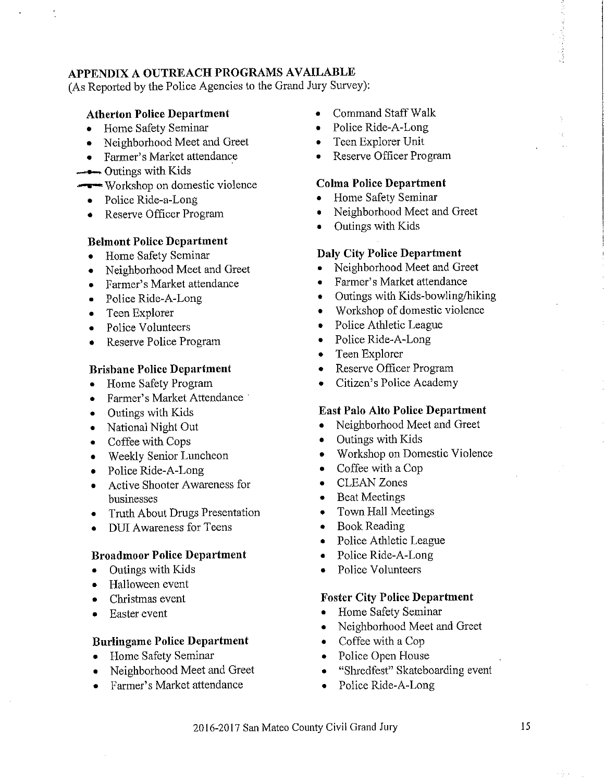# APPENDIX A OUTREACH PROGRAMS AVAILABLE

(As Reported by the Police Agencies to the Grand Jury Survey):

### **Atherton Police Department**

- Home Safety Seminar  $\bullet$
- Neighborhood Meet and Greet
- Farmer's Market attendance
- $\longrightarrow$  Outings with Kids
- Workshop on domestic violence
	- Police Ride-a-Long
	- Reserve Officer Program  $\bullet$

### **Belmont Police Department**

- Home Safety Seminar
- Neighborhood Meet and Greet
- Farmer's Market attendance
- Police Ride-A-Long  $\bullet$
- Teen Explorer  $\bullet$
- Police Volunteers
- Reserve Police Program  $\bullet$

#### **Brisbane Police Department**

- Home Safety Program
- Farmer's Market Attendance
- Outings with Kids
- National Night Out
- Coffee with Cops
- Weekly Senior Luncheon  $\bullet$
- Police Ride-A-Long  $\bullet$
- **Active Shooter Awareness for** businesses
- **Truth About Drugs Presentation**
- **DUI** Awareness for Teens  $\bullet$

#### **Broadmoor Police Department**

- Outings with Kids  $\bullet$
- Halloween event  $\bullet$
- Christmas event
- Easter event  $\bullet$

#### **Burlingame Police Department**

- Home Safety Seminar
- Neighborhood Meet and Greet  $\bullet$
- Farmer's Market attendance
- **Command Staff Walk**
- Police Ride-A-Long
- Teen Explorer Unit  $\bullet$
- Reserve Officer Program

#### **Colma Police Department**

- Home Safety Seminar
- Neighborhood Meet and Greet
- Outings with Kids

#### **Daly City Police Department**

- Neighborhood Meet and Greet
- Farmer's Market attendance  $\bullet$
- Outings with Kids-bowling/hiking  $\bullet$
- Workshop of domestic violence  $\bullet$
- Police Athletic League  $\bullet$
- Police Ride-A-Long  $\bullet$
- Teen Explorer  $\bullet$
- Reserve Officer Program  $\bullet$
- Citizen's Police Academy  $\bullet$

#### **East Palo Alto Police Department**

- Neighborhood Meet and Greet  $\bullet$
- Outings with Kids
- Workshop on Domestic Violence  $\bullet$
- Coffee with a Cop  $\bullet$
- **CLEAN** Zones  $\bullet$
- **Beat Meetings**  $\bullet$
- Town Hall Meetings  $\bullet$
- **Book Reading**  $\bullet$
- Police Athletic League  $\bullet$
- Police Ride-A-Long
- Police Volunteers  $\bullet$

#### **Foster City Police Department**

- Home Safety Seminar  $\bullet$
- Neighborhood Meet and Greet  $\bullet$
- Coffee with a Cop  $\bullet$  .
- Police Open House  $\bullet$
- "Shredfest" Skateboarding event
- Police Ride-A-Long  $\bullet$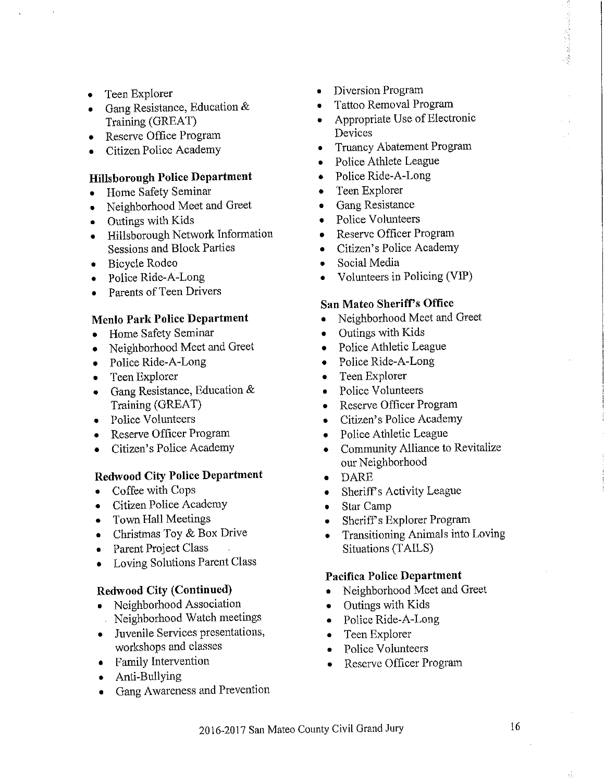- Teen Explorer  $\bullet$
- Gang Resistance, Education  $\&$  $\bullet$ Training (GREAT)
- Reserve Office Program  $\bullet$
- Citizen Police Academy  $\bullet$

## **Hillsborough Police Department**

- Home Safety Seminar  $\bullet$
- Neighborhood Meet and Greet  $\bullet$
- Outings with Kids
- Hillsborough Network Information **Sessions and Block Parties**
- Bicycle Rodeo  $\bullet$
- Police Ride-A-Long  $\bullet$
- Parents of Teen Drivers

### **Menlo Park Police Department**

- Home Safety Seminar  $\bullet$
- Neighborhood Meet and Greet  $\bullet$
- Police Ride-A-Long  $\bullet$
- Teen Explorer  $\bullet$
- Gang Resistance, Education &  $\bullet$ Training (GREAT)
- Police Volunteers  $\bullet$
- Reserve Officer Program  $\bullet$
- Citizen's Police Academy

# **Redwood City Police Department**

- Coffee with Cops
- Citizen Police Academy
- Town Hall Meetings  $\bullet$
- Christmas Toy & Box Drive  $\bullet$
- Parent Project Class  $\bullet$
- Loving Solutions Parent Class

#### **Redwood City (Continued)**

- Neighborhood Association Neighborhood Watch meetings
- Juvenile Services presentations, workshops and classes
- Family Intervention
- Anti-Bullying
- Gang Awareness and Prevention
- Diversion Program  $\bullet$
- Tattoo Removal Program
- Appropriate Use of Electronic Devices
- **Truancy Abatement Program**  $\bullet$
- Police Athlete League  $\bullet$
- Police Ride-A-Long  $\bullet$
- Teen Explorer  $\bullet$
- Gang Resistance  $\bullet$
- Police Volunteers  $\bullet$
- Reserve Officer Program  $\bullet$
- Citizen's Police Academy  $\bullet$
- Social Media
- Volunteers in Policing (VIP)

## San Mateo Sheriff's Office

- Neighborhood Meet and Greet
- Outings with Kids  $\bullet$
- Police Athletic League  $\bullet$
- Police Ride-A-Long  $\bullet$
- Teen Explorer  $\bullet$
- Police Volunteers  $\bullet$
- Reserve Officer Program  $\bullet$
- Citizen's Police Academy
- Police Athletic League  $\bullet$
- Community Alliance to Revitalize our Neighborhood
- **DARE**
- Sheriff's Activity League  $\bullet$
- Star Camp
- Sheriff's Explorer Program
- **Transitioning Animals into Loving** Situations (TAILS)

### Pacifica Police Department

- Neighborhood Meet and Greet
- Outings with Kids  $\bullet$
- Police Ride-A-Long  $\bullet$
- Teen Explorer  $\bullet$
- Police Volunteers
- Reserve Officer Program  $\bullet$

ú,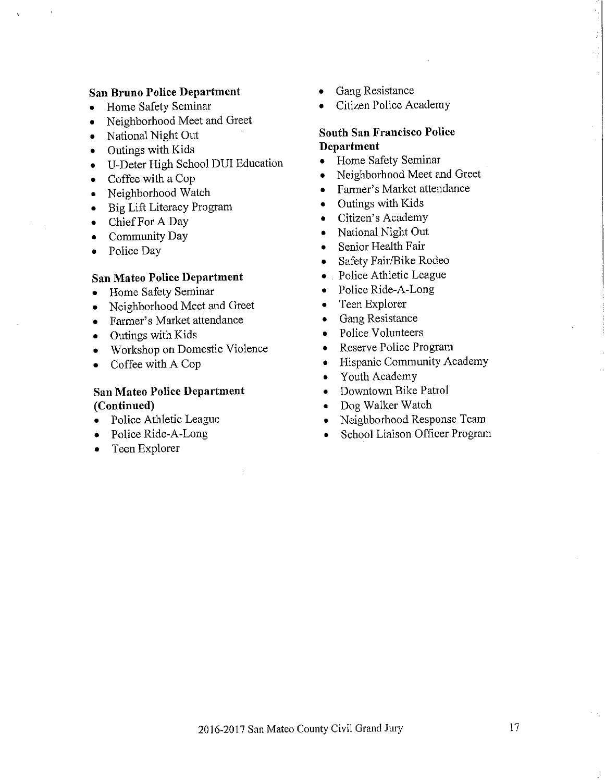### **San Bruno Police Department**

- Home Safety Seminar  $\bullet$
- Neighborhood Meet and Greet  $\bullet$
- National Night Out  $\bullet$
- Outings with Kids
- U-Deter High School DUI Education  $\bullet$
- Coffee with a Cop  $\bullet$
- Neighborhood Watch  $\bullet$
- Big Lift Literacy Program  $\bullet$
- Chief For A Day  $\bullet$
- Community Day  $\bullet$
- Police Day  $\bullet$

#### **San Mateo Police Department**

- Home Safety Seminar  $\bullet$
- Neighborhood Meet and Greet  $\bullet$
- Farmer's Market attendance  $\bullet$
- Outings with Kids  $\bullet$
- Workshop on Domestic Violence  $\bullet$
- Coffee with A Cop  $\bullet$

## **San Mateo Police Department** (Continued)

- Police Athletic League
- Police Ride-A-Long
- Teen Explorer
- Gang Resistance
- Citizen Police Academy

## **South San Francisco Police** Department

- Home Safety Seminar  $\bullet$
- Neighborhood Meet and Greet  $\bullet$
- Farmer's Market attendance  $\bullet$
- Outings with Kids  $\bullet$
- Citizen's Academy  $\bullet$
- National Night Out  $\bullet$
- Senior Health Fair  $\bullet$
- Safety Fair/Bike Rodeo  $\bullet$
- Police Athletic League  $\bullet$
- Police Ride-A-Long  $\bullet$
- Teen Explorer  $\bullet$
- Gang Resistance  $\bullet$
- Police Volunteers  $\bullet$
- Reserve Police Program  $\bullet$
- Hispanic Community Academy  $\bullet$
- Youth Academy  $\bullet$
- Downtown Bike Patrol
- Dog Walker Watch
- Neighborhood Response Team
- School Liaison Officer Program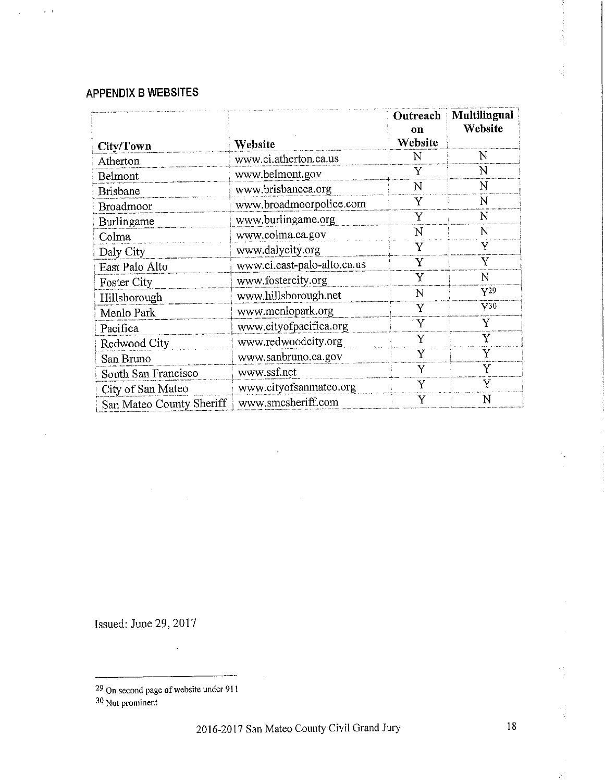# **APPENDIX B WEBSITES**

 $\alpha$  ,  $\alpha$ 

|                          |                             | Outreach<br>on | Multilingual<br>Website |
|--------------------------|-----------------------------|----------------|-------------------------|
| City/Town                | Website                     | Website        |                         |
| Atherton                 | www.ci.atherton.ca.us       | N              | N                       |
| Belmont                  | www.belmont.gov             | Y              | N                       |
| <b>Brisbane</b>          | www.brisbaneca.org          | N              | N                       |
| Broadmoor                | www.broadmoorpolice.com     | Y              | N                       |
| Burlingame               | www.burlingame.org          | Y              | N                       |
| Colma                    | www.colma.ca.gov            | N              | N                       |
| Daly City                | www.dalycity.org            | Y              | Y                       |
| East Palo Alto           | www.ci.east-palo-alto.ca.us | Y              | Y                       |
| <b>Foster City</b>       | www.fostercity.org          | Y              | N                       |
| Hillsborough             | www.hillsborough.net        | N              | $Y^{29}$                |
| Menlo Park               | www.menlopark.org           | Y              | $Y^{30}$                |
| Pacifica                 | www.cityofpacifica.org      | $\Delta$       | Ÿ                       |
| Redwood City             | www.redwoodcity.org         | Y              | Y                       |
| San Bruno                | www.sanbruno.ca.gov         | Y              | Y                       |
| South San Francisco      | www.ssf.net                 | Y              | Y                       |
| City of San Mateo        | www.cityofsanmateo.org      | Y              | Y                       |
| San Mateo County Sheriff | www.smcsheriff.com          | Y              | N                       |

Issued: June 29, 2017

 $\hat{\mathcal{N}}_t$ 

<sup>29</sup> On second page of website under 911<br> $30$  Not prominent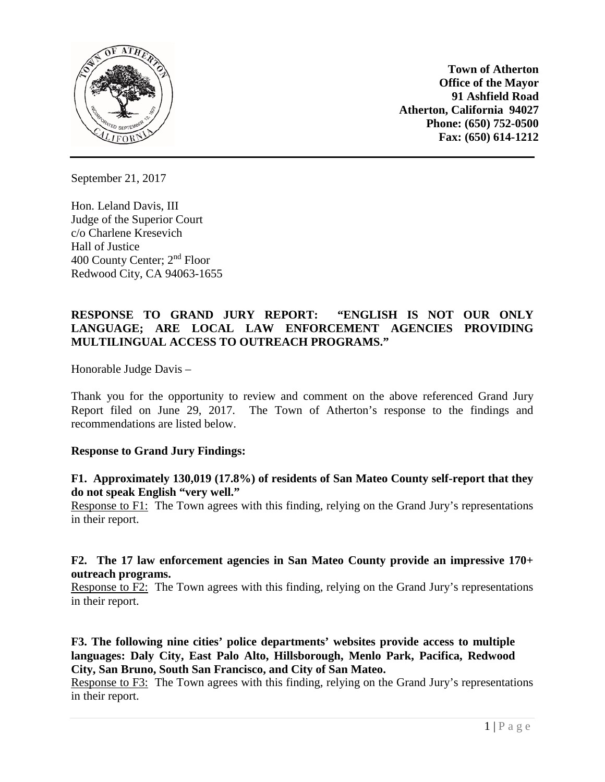

**Town of Atherton Office of the Mayor 91 Ashfield Road Atherton, California 94027 Phone: (650) 752-0500 Fax: (650) 614-1212**

September 21, 2017

Hon. Leland Davis, III Judge of the Superior Court c/o Charlene Kresevich Hall of Justice 400 County Center; 2nd Floor Redwood City, CA 94063-1655

# **RESPONSE TO GRAND JURY REPORT: "ENGLISH IS NOT OUR ONLY LANGUAGE; ARE LOCAL LAW ENFORCEMENT AGENCIES PROVIDING MULTILINGUAL ACCESS TO OUTREACH PROGRAMS."**

Honorable Judge Davis –

Thank you for the opportunity to review and comment on the above referenced Grand Jury Report filed on June 29, 2017. The Town of Atherton's response to the findings and recommendations are listed below.

## **Response to Grand Jury Findings:**

## **F1. Approximately 130,019 (17.8%) of residents of San Mateo County self-report that they do not speak English "very well."**

Response to F1: The Town agrees with this finding, relying on the Grand Jury's representations in their report.

## **F2. The 17 law enforcement agencies in San Mateo County provide an impressive 170+ outreach programs.**

Response to F2: The Town agrees with this finding, relying on the Grand Jury's representations in their report.

**F3. The following nine cities' police departments' websites provide access to multiple languages: Daly City, East Palo Alto, Hillsborough, Menlo Park, Pacifica, Redwood City, San Bruno, South San Francisco, and City of San Mateo.**

Response to F3: The Town agrees with this finding, relying on the Grand Jury's representations in their report.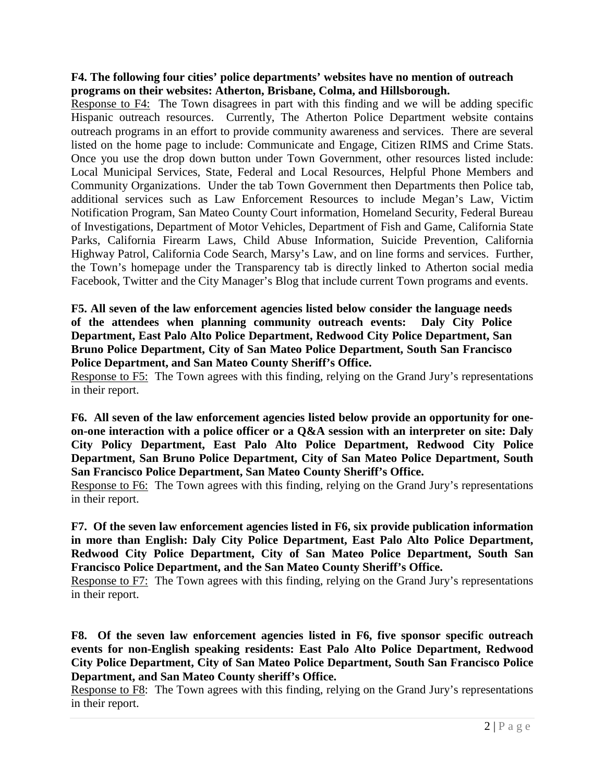## **F4. The following four cities' police departments' websites have no mention of outreach programs on their websites: Atherton, Brisbane, Colma, and Hillsborough.**

Response to F4: The Town disagrees in part with this finding and we will be adding specific Hispanic outreach resources. Currently, The Atherton Police Department website contains outreach programs in an effort to provide community awareness and services. There are several listed on the home page to include: Communicate and Engage, Citizen RIMS and Crime Stats. Once you use the drop down button under Town Government, other resources listed include: Local Municipal Services, State, Federal and Local Resources, Helpful Phone Members and Community Organizations. Under the tab Town Government then Departments then Police tab, additional services such as Law Enforcement Resources to include Megan's Law, Victim Notification Program, San Mateo County Court information, Homeland Security, Federal Bureau of Investigations, Department of Motor Vehicles, Department of Fish and Game, California State Parks, California Firearm Laws, Child Abuse Information, Suicide Prevention, California Highway Patrol, California Code Search, Marsy's Law, and on line forms and services. Further, the Town's homepage under the Transparency tab is directly linked to Atherton social media Facebook, Twitter and the City Manager's Blog that include current Town programs and events.

**F5. All seven of the law enforcement agencies listed below consider the language needs of the attendees when planning community outreach events: Daly City Police Department, East Palo Alto Police Department, Redwood City Police Department, San Bruno Police Department, City of San Mateo Police Department, South San Francisco Police Department, and San Mateo County Sheriff's Office.**

Response to F5: The Town agrees with this finding, relying on the Grand Jury's representations in their report.

**F6. All seven of the law enforcement agencies listed below provide an opportunity for oneon-one interaction with a police officer or a Q&A session with an interpreter on site: Daly City Policy Department, East Palo Alto Police Department, Redwood City Police Department, San Bruno Police Department, City of San Mateo Police Department, South San Francisco Police Department, San Mateo County Sheriff's Office.**

Response to F6: The Town agrees with this finding, relying on the Grand Jury's representations in their report.

**F7. Of the seven law enforcement agencies listed in F6, six provide publication information in more than English: Daly City Police Department, East Palo Alto Police Department, Redwood City Police Department, City of San Mateo Police Department, South San Francisco Police Department, and the San Mateo County Sheriff's Office.**

Response to F7: The Town agrees with this finding, relying on the Grand Jury's representations in their report.

**F8. Of the seven law enforcement agencies listed in F6, five sponsor specific outreach events for non-English speaking residents: East Palo Alto Police Department, Redwood City Police Department, City of San Mateo Police Department, South San Francisco Police Department, and San Mateo County sheriff's Office.**

Response to F8: The Town agrees with this finding, relying on the Grand Jury's representations in their report.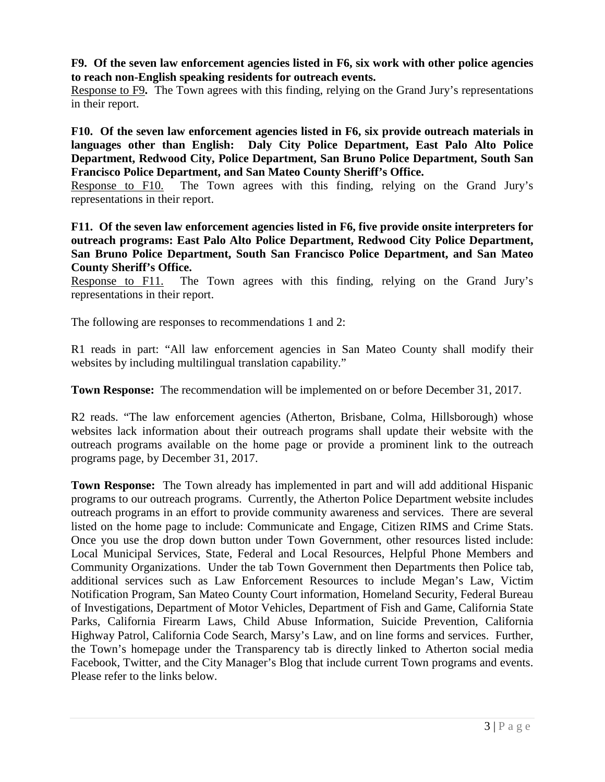**F9. Of the seven law enforcement agencies listed in F6, six work with other police agencies to reach non-English speaking residents for outreach events.**

Response to F9**.** The Town agrees with this finding, relying on the Grand Jury's representations in their report.

**F10. Of the seven law enforcement agencies listed in F6, six provide outreach materials in languages other than English: Daly City Police Department, East Palo Alto Police Department, Redwood City, Police Department, San Bruno Police Department, South San Francisco Police Department, and San Mateo County Sheriff's Office.**

Response to F10. The Town agrees with this finding, relying on the Grand Jury's representations in their report.

**F11. Of the seven law enforcement agencies listed in F6, five provide onsite interpreters for outreach programs: East Palo Alto Police Department, Redwood City Police Department, San Bruno Police Department, South San Francisco Police Department, and San Mateo County Sheriff's Office.**

Response to F11. The Town agrees with this finding, relying on the Grand Jury's representations in their report.

The following are responses to recommendations 1 and 2:

R1 reads in part: "All law enforcement agencies in San Mateo County shall modify their websites by including multilingual translation capability."

**Town Response:** The recommendation will be implemented on or before December 31, 2017.

R2 reads. "The law enforcement agencies (Atherton, Brisbane, Colma, Hillsborough) whose websites lack information about their outreach programs shall update their website with the outreach programs available on the home page or provide a prominent link to the outreach programs page, by December 31, 2017.

**Town Response:** The Town already has implemented in part and will add additional Hispanic programs to our outreach programs. Currently, the Atherton Police Department website includes outreach programs in an effort to provide community awareness and services. There are several listed on the home page to include: Communicate and Engage, Citizen RIMS and Crime Stats. Once you use the drop down button under Town Government, other resources listed include: Local Municipal Services, State, Federal and Local Resources, Helpful Phone Members and Community Organizations. Under the tab Town Government then Departments then Police tab, additional services such as Law Enforcement Resources to include Megan's Law, Victim Notification Program, San Mateo County Court information, Homeland Security, Federal Bureau of Investigations, Department of Motor Vehicles, Department of Fish and Game, California State Parks, California Firearm Laws, Child Abuse Information, Suicide Prevention, California Highway Patrol, California Code Search, Marsy's Law, and on line forms and services. Further, the Town's homepage under the Transparency tab is directly linked to Atherton social media Facebook, Twitter, and the City Manager's Blog that include current Town programs and events. Please refer to the links below.